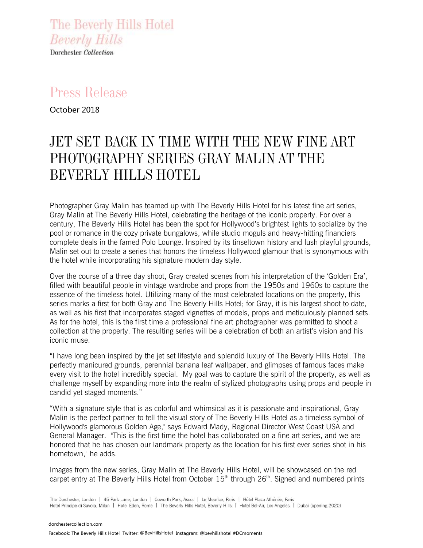The Beverly Hills Hotel **Beverly Hills** Dorchester Collection

## Press Release

October 2018

# JET SET BACK IN TIME WITH THE NEW FINE ART PHOTOGRAPHY SERIES GRAY MALIN AT THE BEVERLY HILLS HOTEL

Photographer Gray Malin has teamed up with The Beverly Hills Hotel for his latest fine art series, Gray Malin at The Beverly Hills Hotel, celebrating the heritage of the iconic property. For over a century, The Beverly Hills Hotel has been the spot for Hollywood's brightest lights to socialize by the pool or romance in the cozy private bungalows, while studio moguls and heavy-hitting financiers complete deals in the famed Polo Lounge. Inspired by its tinseltown history and lush playful grounds, Malin set out to create a series that honors the timeless Hollywood glamour that is synonymous with the hotel while incorporating his signature modern day style.

Over the course of a three day shoot, Gray created scenes from his interpretation of the 'Golden Era', filled with beautiful people in vintage wardrobe and props from the 1950s and 1960s to capture the essence of the timeless hotel. Utilizing many of the most celebrated locations on the property, this series marks a first for both Gray and The Beverly Hills Hotel; for Gray, it is his largest shoot to date, as well as his first that incorporates staged vignettes of models, props and meticulously planned sets. As for the hotel, this is the first time a professional fine art photographer was permitted to shoot a collection at the property. The resulting series will be a celebration of both an artist's vision and his iconic muse.

"I have long been inspired by the jet set lifestyle and splendid luxury of The Beverly Hills Hotel. The perfectly manicured grounds, perennial banana leaf wallpaper, and glimpses of famous faces make every visit to the hotel incredibly special. My goal was to capture the spirit of the property, as well as challenge myself by expanding more into the realm of stylized photographs using props and people in candid yet staged moments."

"With a signature style that is as colorful and whimsical as it is passionate and inspirational, Gray Malin is the perfect partner to tell the visual story of The Beverly Hills Hotel as a timeless symbol of Hollywood's glamorous Golden Age," says Edward Mady, Regional Director West Coast USA and General Manager. "This is the first time the hotel has collaborated on a fine art series, and we are honored that he has chosen our landmark property as the location for his first ever series shot in his hometown," he adds.

Images from the new series, Gray Malin at The Beverly Hills Hotel, will be showcased on the red carpet entry at The Beverly Hills Hotel from October  $15<sup>th</sup>$  through  $26<sup>th</sup>$ . Signed and numbered prints

The Dorchester, London | 45 Park Lane, London | Coworth Park, Ascot | Le Meurice, Paris | Hôtel Plaza Athénée, Paris Hotel Principe di Savoia, Milan | Hotel Eden, Rome | The Beverly Hills Hotel, Beverly Hills | Hotel Bel-Air, Los Angeles | Dubai (opening 2020)

[dorchestercollection.com](http://www.dorchestercollection.com/) Facebook: The Beverly Hills Hotel Twitter: @BevHillsHotelInstagram: @bevhillshotel #DCmoments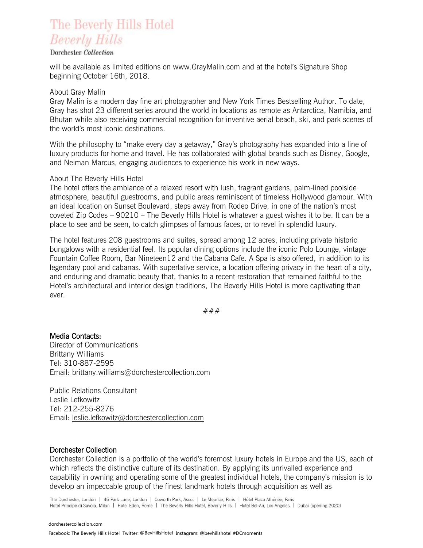### The Beverly Hills Hotel **Beverly Hills**

#### Dorchester Collection

will be available as limited editions on www.GrayMalin.com and at the hotel's Signature Shop beginning October 16th, 2018.

#### About Gray Malin

Gray Malin is a modern day fine art photographer and New York Times Bestselling Author. To date, Gray has shot 23 different series around the world in locations as remote as Antarctica, Namibia, and Bhutan while also receiving commercial recognition for inventive aerial beach, ski, and park scenes of the world's most iconic destinations.

With the philosophy to "make every day a getaway," Gray's photography has expanded into a line of luxury products for home and travel. He has collaborated with global brands such as Disney, Google, and Neiman Marcus, engaging audiences to experience his work in new ways.

#### About The Beverly Hills Hotel

The hotel offers the ambiance of a relaxed resort with lush, fragrant gardens, palm-lined poolside atmosphere, beautiful guestrooms, and public areas reminiscent of timeless Hollywood glamour. With an ideal location on Sunset Boulevard, steps away from Rodeo Drive, in one of the nation's most coveted Zip Codes – 90210 – The Beverly Hills Hotel is whatever a guest wishes it to be. It can be a place to see and be seen, to catch glimpses of famous faces, or to revel in splendid luxury.

The hotel features 208 guestrooms and suites, spread among 12 acres, including private historic bungalows with a residential feel. Its popular dining options include the iconic Polo Lounge, vintage Fountain Coffee Room, Bar Nineteen12 and the Cabana Cafe. A Spa is also offered, in addition to its legendary pool and cabanas. With superlative service, a location offering privacy in the heart of a city, and enduring and dramatic beauty that, thanks to a recent restoration that remained faithful to the Hotel's architectural and interior design traditions, The Beverly Hills Hotel is more captivating than ever.

###

Media Contacts: Director of Communications Brittany Williams Tel: 310-887-2595 Email: [brittany.williams@dorchestercollection.com](mailto:brittany.williams@dorchestercollection.com)

Public Relations Consultant Leslie Lefkowitz Tel: 212-255-8276 Email: [leslie.lefkowitz@dorchestercollection.com](mailto:leslie.lefkowitz@dorchestercollection.com)

#### Dorchester Collection

Dorchester Collection is a portfolio of the world's foremost luxury hotels in Europe and the US, each of which reflects the distinctive culture of its destination. By applying its unrivalled experience and capability in owning and operating some of the greatest individual hotels, the company's mission is to develop an impeccable group of the finest landmark hotels through acquisition as well as

The Dorchester, London | 45 Park Lane, London | Coworth Park, Ascot | Le Meurice, Paris | Hôtel Plaza Athénée, Paris Hotel Principe di Savoia, Milan | Hotel Eden, Rome | The Beverly Hills Hotel, Beverly Hills | Hotel Bel-Air, Los Angeles | Dubai (opening 2020)